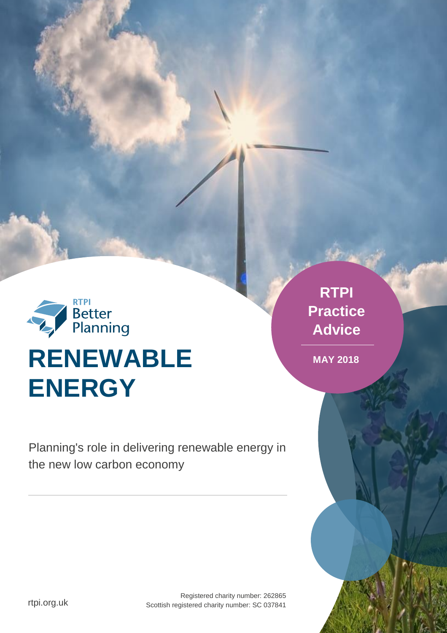

Planning's role in delivering renewable energy in the new low carbon economy

**RTPI Practice Advice**

**MAY 2018**

rtpi.org.uk

Registered charity number: 262865 Scottish registered charity number: SC 037841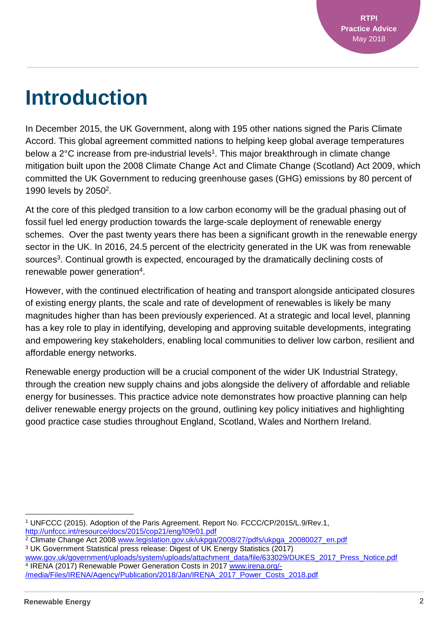### **Introduction**

In December 2015, the UK Government, along with 195 other nations signed the Paris Climate Accord. This global agreement committed nations to helping keep global average temperatures below a 2°C increase from pre-industrial levels<sup>1</sup>. This major breakthrough in climate change mitigation built upon the 2008 Climate Change Act and Climate Change (Scotland) Act 2009, which committed the UK Government to reducing greenhouse gases (GHG) emissions by 80 percent of 1990 levels by 2050<sup>2</sup>.

At the core of this pledged transition to a low carbon economy will be the gradual phasing out of fossil fuel led energy production towards the large-scale deployment of renewable energy schemes. Over the past twenty years there has been a significant growth in the renewable energy sector in the UK. In 2016, 24.5 percent of the electricity generated in the UK was from renewable sources<sup>3</sup>. Continual growth is expected, encouraged by the dramatically declining costs of renewable power generation<sup>4</sup>.

However, with the continued electrification of heating and transport alongside anticipated closures of existing energy plants, the scale and rate of development of renewables is likely be many magnitudes higher than has been previously experienced. At a strategic and local level, planning has a key role to play in identifying, developing and approving suitable developments, integrating and empowering key stakeholders, enabling local communities to deliver low carbon, resilient and affordable energy networks.

Renewable energy production will be a crucial component of the wider UK Industrial Strategy, through the creation new supply chains and jobs alongside the delivery of affordable and reliable energy for businesses. This practice advice note demonstrates how proactive planning can help deliver renewable energy projects on the ground, outlining key policy initiatives and highlighting good practice case studies throughout England, Scotland, Wales and Northern Ireland.

[www.gov.uk/government/uploads/system/uploads/attachment\\_data/file/633029/DUKES\\_2017\\_Press\\_Notice.pdf](http://www.gov.uk/government/uploads/system/uploads/attachment_data/file/633029/DUKES_2017_Press_Notice.pdf) <sup>4</sup> IRENA (2017) Renewable Power Generation Costs in 2017 [www.irena.org/-](http://www.irena.org/-/media/Files/IRENA/Agency/Publication/2018/Jan/IRENA_2017_Power_Costs_2018.pdf) [/media/Files/IRENA/Agency/Publication/2018/Jan/IRENA\\_2017\\_Power\\_Costs\\_2018.pdf](http://www.irena.org/-/media/Files/IRENA/Agency/Publication/2018/Jan/IRENA_2017_Power_Costs_2018.pdf)

l <sup>1</sup> UNFCCC (2015). Adoption of the Paris Agreement. Report No. FCCC/CP/2015/L.9/Rev.1, <http://unfccc.int/resource/docs/2015/cop21/eng/l09r01.pdf>

<sup>&</sup>lt;sup>2</sup> Climate Change Act 2008 [www.legislation.gov.uk/ukpga/2008/27/pdfs/ukpga\\_20080027\\_en.pdf](http://www.legislation.gov.uk/ukpga/2008/27/pdfs/ukpga_20080027_en.pdf) <sup>3</sup> UK Government Statistical press release: Digest of UK Energy Statistics (2017)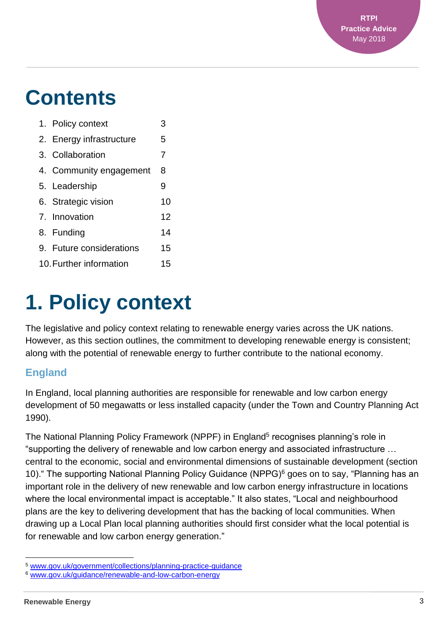### **Contents**

|                         | 1. Policy context        | 3  |
|-------------------------|--------------------------|----|
|                         | 2. Energy infrastructure | 5  |
|                         | 3. Collaboration         | 7  |
|                         | 4. Community engagement  | 8  |
|                         | 5. Leadership            | 9  |
|                         | 6. Strategic vision      | 10 |
|                         | 7. Innovation            | 12 |
|                         | 8. Funding               | 14 |
|                         | 9. Future considerations | 15 |
| 10. Further information |                          | 15 |

## **1. Policy context**

The legislative and policy context relating to renewable energy varies across the UK nations. However, as this section outlines, the commitment to developing renewable energy is consistent; along with the potential of renewable energy to further contribute to the national economy.

#### **England**

In England, local planning authorities are responsible for renewable and low carbon energy development of 50 megawatts or less installed capacity (under the Town and Country Planning Act 1990).

The National Planning Policy Framework (NPPF) in England<sup>5</sup> recognises planning's role in "supporting the delivery of renewable and low carbon energy and associated infrastructure … central to the economic, social and environmental dimensions of sustainable development (section 10)." The supporting National Planning Policy Guidance (NPPG)<sup>6</sup> goes on to say, "Planning has an important role in the delivery of new renewable and low carbon energy infrastructure in locations where the local environmental impact is acceptable." It also states, "Local and neighbourhood plans are the key to delivering development that has the backing of local communities. When drawing up a Local Plan local planning authorities should first consider what the local potential is for renewable and low carbon energy generation."

 $\overline{a}$ <sup>5</sup> [www.gov.uk/government/collections/planning-practice-guidance](file:///C:/Users/sarahlewis/AppData/Local/Microsoft/Windows/INetCache/Content.Outlook/RTSZR8T8/www.gov.uk/government/collections/planning-practice-guidance)

<sup>6</sup> [www.gov.uk/guidance/renewable-and-low-carbon-energy](file:///C:/Users/sarahlewis/AppData/Local/Microsoft/Windows/INetCache/Content.Outlook/RTSZR8T8/www.gov.uk/guidance/renewable-and-low-carbon-energy)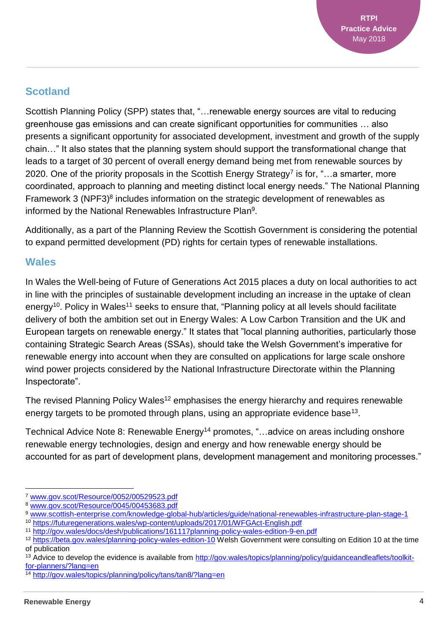#### **Scotland**

Scottish Planning Policy (SPP) states that, "…renewable energy sources are vital to reducing greenhouse gas emissions and can create significant opportunities for communities … also presents a significant opportunity for associated development, investment and growth of the supply chain…" It also states that the planning system should support the transformational change that leads to a target of 30 percent of overall energy demand being met from renewable sources by 2020. One of the priority proposals in the Scottish Energy Strategy<sup>7</sup> is for, "...a smarter, more coordinated, approach to planning and meeting distinct local energy needs." The National Planning Framework 3 (NPF3)<sup>8</sup> includes information on the strategic development of renewables as informed by the National Renewables Infrastructure Plan<sup>9</sup>.

Additionally, as a part of the Planning Review the Scottish Government is considering the potential to expand permitted development (PD) rights for certain types of renewable installations.

#### **Wales**

In Wales the Well-being of Future of Generations Act 2015 places a duty on local authorities to act in line with the principles of sustainable development including an increase in the uptake of clean energy<sup>10</sup>. Policy in Wales<sup>11</sup> seeks to ensure that, "Planning policy at all levels should facilitate delivery of both the ambition set out in Energy Wales: A Low Carbon Transition and the UK and European targets on renewable energy." It states that "local planning authorities, particularly those containing Strategic Search Areas (SSAs), should take the Welsh Government's imperative for renewable energy into account when they are consulted on applications for large scale onshore wind power projects considered by the National Infrastructure Directorate within the Planning Inspectorate".

The revised Planning Policy Wales<sup>12</sup> emphasises the energy hierarchy and requires renewable energy targets to be promoted through plans, using an appropriate evidence base<sup>13</sup>.

Technical Advice Note 8: Renewable Energy<sup>14</sup> promotes, "...advice on areas including onshore renewable energy technologies, design and energy and how renewable energy should be accounted for as part of development plans, development management and monitoring processes."

<sup>7</sup> [www.gov.scot/Resource/0052/00529523.pdf](file:///C:/Users/sarahlewis/AppData/Local/Microsoft/Windows/INetCache/Content.Outlook/RTSZR8T8/www.gov.scot/Resource/0052/00529523.pdf)

<sup>8</sup> [www.gov.scot/Resource/0045/00453683.pdf](http://www.gov.scot/Resource/0045/00453683.pdf)

<sup>9</sup> [www.scottish-enterprise.com/knowledge-global-hub/articles/guide/national-renewables-infrastructure-plan-stage-1](http://www.scottish-enterprise.com/knowledge-global-hub/articles/guide/national-renewables-infrastructure-plan-stage-1) <sup>10</sup> <https://futuregenerations.wales/wp-content/uploads/2017/01/WFGAct-English.pdf>

<sup>11</sup> <http://gov.wales/docs/desh/publications/161117planning-policy-wales-edition-9-en.pdf>

<sup>12</sup> <https://beta.gov.wales/planning-policy-wales-edition-10> Welsh Government were consulting on Edition 10 at the time of publication

<sup>&</sup>lt;sup>13</sup> Advice to develop the evidence is available from [http://gov.wales/topics/planning/policy/guidanceandleaflets/toolkit](http://gov.wales/topics/planning/policy/guidanceandleaflets/toolkit-for-planners/?lang=en)[for-planners/?lang=en](http://gov.wales/topics/planning/policy/guidanceandleaflets/toolkit-for-planners/?lang=en)

<sup>14</sup> <http://gov.wales/topics/planning/policy/tans/tan8/?lang=en>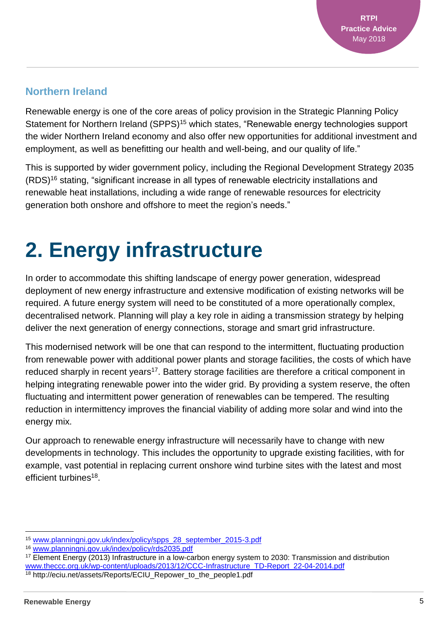#### **Northern Ireland**

Renewable energy is one of the core areas of policy provision in the Strategic Planning Policy Statement for Northern Ireland (SPPS)<sup>15</sup> which states, "Renewable energy technologies support the wider Northern Ireland economy and also offer new opportunities for additional investment and employment, as well as benefitting our health and well-being, and our quality of life."

This is supported by wider government policy, including the Regional Development Strategy 2035 (RDS)<sup>16</sup> stating, "significant increase in all types of renewable electricity installations and renewable heat installations, including a wide range of renewable resources for electricity generation both onshore and offshore to meet the region's needs."

# **2. Energy infrastructure**

In order to accommodate this shifting landscape of energy power generation, widespread deployment of new energy infrastructure and extensive modification of existing networks will be required. A future energy system will need to be constituted of a more operationally complex, decentralised network. Planning will play a key role in aiding a transmission strategy by helping deliver the next generation of energy connections, storage and smart grid infrastructure.

This modernised network will be one that can respond to the intermittent, fluctuating production from renewable power with additional power plants and storage facilities, the costs of which have reduced sharply in recent years<sup>17</sup>. Battery storage facilities are therefore a critical component in helping integrating renewable power into the wider grid. By providing a system reserve, the often fluctuating and intermittent power generation of renewables can be tempered. The resulting reduction in intermittency improves the financial viability of adding more solar and wind into the energy mix.

Our approach to renewable energy infrastructure will necessarily have to change with new developments in technology. This includes the opportunity to upgrade existing facilities, with for example, vast potential in replacing current onshore wind turbine sites with the latest and most efficient turbines<sup>18</sup>.

 $\overline{a}$ <sup>15</sup> [www.planningni.gov.uk/index/policy/spps\\_28\\_september\\_2015-3.pdf](file:///C:/Users/sarahlewis/AppData/Local/Microsoft/Windows/INetCache/Content.Outlook/RTSZR8T8/www.planningni.gov.uk/index/policy/spps_28_september_2015-3.pdf)

<sup>16</sup> [www.planningni.gov.uk/index/policy/rds2035.pdf](file:///C:/Users/sarahlewis/AppData/Local/Microsoft/Windows/INetCache/Content.Outlook/RTSZR8T8/www.planningni.gov.uk/index/policy/rds2035.pdf)

<sup>17</sup> Element Energy (2013) Infrastructure in a low-carbon energy system to 2030: Transmission and distribution [www.theccc.org.uk/wp-content/uploads/2013/12/CCC-Infrastructure\\_TD-Report\\_22-04-2014.pdf](http://www.theccc.org.uk/wp-content/uploads/2013/12/CCC-Infrastructure_TD-Report_22-04-2014.pdf) <sup>18</sup> http://eciu.net/assets/Reports/ECIU\_Repower\_to\_the\_people1.pdf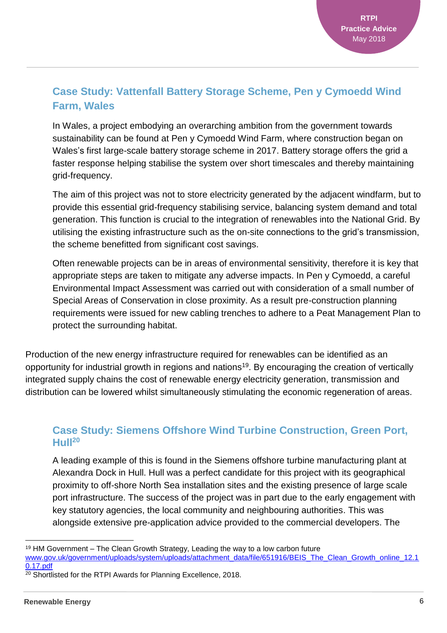#### **Case Study: Vattenfall Battery Storage Scheme, Pen y Cymoedd Wind Farm, Wales**

In Wales, a project embodying an overarching ambition from the government towards sustainability can be found at Pen y Cymoedd Wind Farm, where construction began on Wales's first large-scale battery storage scheme in 2017. Battery storage offers the grid a faster response helping stabilise the system over short timescales and thereby maintaining grid-frequency.

The aim of this project was not to store electricity generated by the adjacent windfarm, but to provide this essential grid-frequency stabilising service, balancing system demand and total generation. This function is crucial to the integration of renewables into the National Grid. By utilising the existing infrastructure such as the on-site connections to the grid's transmission, the scheme benefitted from significant cost savings.

Often renewable projects can be in areas of environmental sensitivity, therefore it is key that appropriate steps are taken to mitigate any adverse impacts. In Pen y Cymoedd, a careful Environmental Impact Assessment was carried out with consideration of a small number of Special Areas of Conservation in close proximity. As a result pre-construction planning requirements were issued for new cabling trenches to adhere to a Peat Management Plan to protect the surrounding habitat.

Production of the new energy infrastructure required for renewables can be identified as an opportunity for industrial growth in regions and nations<sup>19</sup>. By encouraging the creation of vertically integrated supply chains the cost of renewable energy electricity generation, transmission and distribution can be lowered whilst simultaneously stimulating the economic regeneration of areas.

#### **Case Study: Siemens Offshore Wind Turbine Construction, Green Port, Hull<sup>20</sup>**

A leading example of this is found in the Siemens offshore turbine manufacturing plant at Alexandra Dock in Hull. Hull was a perfect candidate for this project with its geographical proximity to off-shore North Sea installation sites and the existing presence of large scale port infrastructure. The success of the project was in part due to the early engagement with key statutory agencies, the local community and neighbouring authorities. This was alongside extensive pre-application advice provided to the commercial developers. The

<sup>19</sup> HM Government – The Clean Growth Strategy, Leading the way to a low carbon future [www.gov.uk/government/uploads/system/uploads/attachment\\_data/file/651916/BEIS\\_The\\_Clean\\_Growth\\_online\\_12.1](http://www.gov.uk/government/uploads/system/uploads/attachment_data/file/651916/BEIS_The_Clean_Growth_online_12.10.17.pdf) [0.17.pdf](http://www.gov.uk/government/uploads/system/uploads/attachment_data/file/651916/BEIS_The_Clean_Growth_online_12.10.17.pdf)

 $20$  Shortlisted for the RTPI Awards for Planning Excellence, 2018.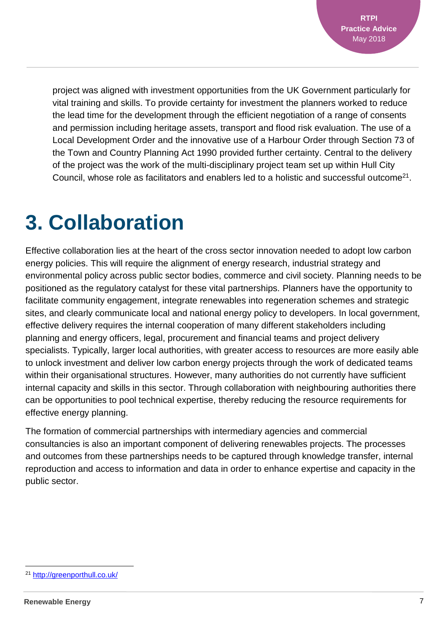project was aligned with investment opportunities from the UK Government particularly for vital training and skills. To provide certainty for investment the planners worked to reduce the lead time for the development through the efficient negotiation of a range of consents and permission including heritage assets, transport and flood risk evaluation. The use of a Local Development Order and the innovative use of a Harbour Order through Section 73 of the Town and Country Planning Act 1990 provided further certainty. Central to the delivery of the project was the work of the multi-disciplinary project team set up within Hull City Council, whose role as facilitators and enablers led to a holistic and successful outcome<sup>21</sup>.

### **3. Collaboration**

Effective collaboration lies at the heart of the cross sector innovation needed to adopt low carbon energy policies. This will require the alignment of energy research, industrial strategy and environmental policy across public sector bodies, commerce and civil society. Planning needs to be positioned as the regulatory catalyst for these vital partnerships. Planners have the opportunity to facilitate community engagement, integrate renewables into regeneration schemes and strategic sites, and clearly communicate local and national energy policy to developers. In local government, effective delivery requires the internal cooperation of many different stakeholders including planning and energy officers, legal, procurement and financial teams and project delivery specialists. Typically, larger local authorities, with greater access to resources are more easily able to unlock investment and deliver low carbon energy projects through the work of dedicated teams within their organisational structures. However, many authorities do not currently have sufficient internal capacity and skills in this sector. Through collaboration with neighbouring authorities there can be opportunities to pool technical expertise, thereby reducing the resource requirements for effective energy planning.

The formation of commercial partnerships with intermediary agencies and commercial consultancies is also an important component of delivering renewables projects. The processes and outcomes from these partnerships needs to be captured through knowledge transfer, internal reproduction and access to information and data in order to enhance expertise and capacity in the public sector.

l <sup>21</sup> <http://greenporthull.co.uk/>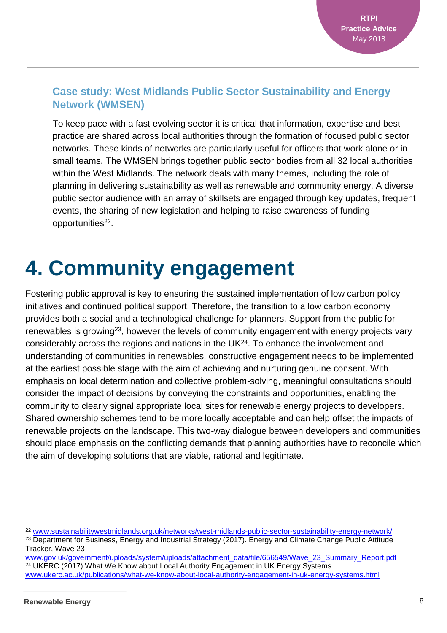#### **Case study: West Midlands Public Sector Sustainability and Energy Network (WMSEN)**

To keep pace with a fast evolving sector it is critical that information, expertise and best practice are shared across local authorities through the formation of focused public sector networks. These kinds of networks are particularly useful for officers that work alone or in small teams. The WMSEN brings together public sector bodies from all 32 local authorities within the West Midlands. The network deals with many themes, including the role of planning in delivering sustainability as well as renewable and community energy. A diverse public sector audience with an array of skillsets are engaged through key updates, frequent events, the sharing of new legislation and helping to raise awareness of funding opportunities<sup>22</sup>.

### **4. Community engagement**

Fostering public approval is key to ensuring the sustained implementation of low carbon policy initiatives and continued political support. Therefore, the transition to a low carbon economy provides both a social and a technological challenge for planners. Support from the public for renewables is growing<sup>23</sup>, however the levels of community engagement with energy projects vary considerably across the regions and nations in the UK $^{24}$ . To enhance the involvement and understanding of communities in renewables, constructive engagement needs to be implemented at the earliest possible stage with the aim of achieving and nurturing genuine consent. With emphasis on local determination and collective problem-solving, meaningful consultations should consider the impact of decisions by conveying the constraints and opportunities, enabling the community to clearly signal appropriate local sites for renewable energy projects to developers. Shared ownership schemes tend to be more locally acceptable and can help offset the impacts of renewable projects on the landscape. This two-way dialogue between developers and communities should place emphasis on the conflicting demands that planning authorities have to reconcile which the aim of developing solutions that are viable, rational and legitimate.

[www.gov.uk/government/uploads/system/uploads/attachment\\_data/file/656549/Wave\\_23\\_Summary\\_Report.pdf](http://www.gov.uk/government/uploads/system/uploads/attachment_data/file/656549/Wave_23_Summary_Report.pdf) <sup>24</sup> UKERC (2017) What We Know about Local Authority Engagement in UK Energy Systems [www.ukerc.ac.uk/publications/what-we-know-about-local-authority-engagement-in-uk-energy-systems.html](http://www.ukerc.ac.uk/publications/what-we-know-about-local-authority-engagement-in-uk-energy-systems.html)

<sup>22</sup> [www.sustainabilitywestmidlands.org.uk/networks/west-midlands-public-sector-sustainability-energy-network/](http://www.sustainabilitywestmidlands.org.uk/networks/west-midlands-public-sector-sustainability-energy-network/) <sup>23</sup> Department for Business, Energy and Industrial Strategy (2017). Energy and Climate Change Public Attitude Tracker, Wave 23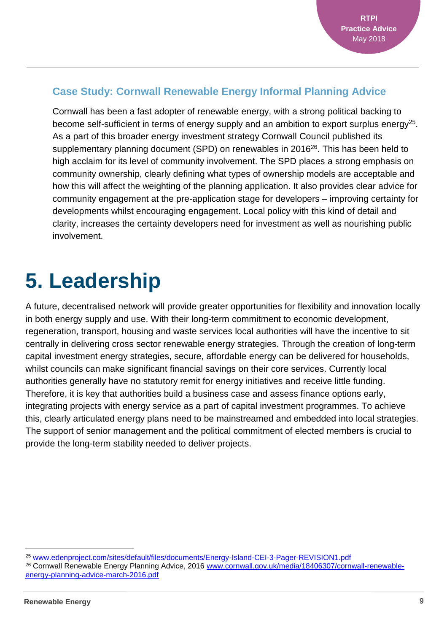#### **Case Study: Cornwall Renewable Energy Informal Planning Advice**

Cornwall has been a fast adopter of renewable energy, with a strong political backing to become self-sufficient in terms of energy supply and an ambition to export surplus energy<sup>25</sup>. As a part of this broader energy investment strategy Cornwall Council published its supplementary planning document (SPD) on renewables in 2016<sup>26</sup>. This has been held to high acclaim for its level of community involvement. The SPD places a strong emphasis on community ownership, clearly defining what types of ownership models are acceptable and how this will affect the weighting of the planning application. It also provides clear advice for community engagement at the pre-application stage for developers – improving certainty for developments whilst encouraging engagement. Local policy with this kind of detail and clarity, increases the certainty developers need for investment as well as nourishing public involvement.

### **5. Leadership**

A future, decentralised network will provide greater opportunities for flexibility and innovation locally in both energy supply and use. With their long-term commitment to economic development, regeneration, transport, housing and waste services local authorities will have the incentive to sit centrally in delivering cross sector renewable energy strategies. Through the creation of long-term capital investment energy strategies, secure, affordable energy can be delivered for households, whilst councils can make significant financial savings on their core services. Currently local authorities generally have no statutory remit for energy initiatives and receive little funding. Therefore, it is key that authorities build a business case and assess finance options early, integrating projects with energy service as a part of capital investment programmes. To achieve this, clearly articulated energy plans need to be mainstreamed and embedded into local strategies. The support of senior management and the political commitment of elected members is crucial to provide the long-term stability needed to deliver projects.

 $\overline{a}$ 

<sup>25</sup> [www.edenproject.com/sites/default/files/documents/Energy-Island-CEI-3-Pager-REVISION1.pdf](http://www.edenproject.com/sites/default/files/documents/Energy-Island-CEI-3-Pager-REVISION1.pdf)

<sup>26</sup> Cornwall Renewable Energy Planning Advice, 2016 [www.cornwall.gov.uk/media/18406307/cornwall-renewable](http://www.cornwall.gov.uk/media/18406307/cornwall-renewable-energy-planning-advice-march-2016.pdf)[energy-planning-advice-march-2016.pdf](http://www.cornwall.gov.uk/media/18406307/cornwall-renewable-energy-planning-advice-march-2016.pdf)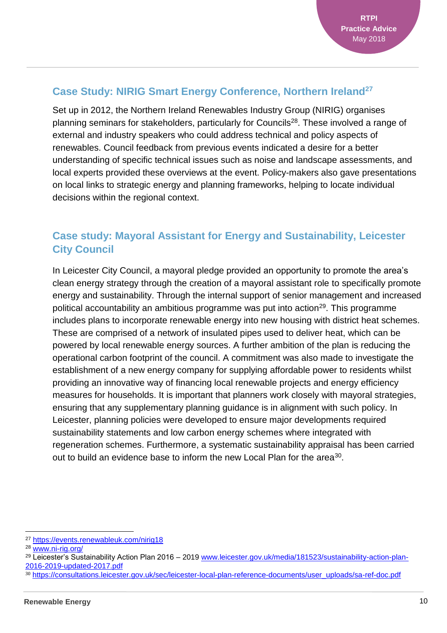#### **Case Study: NIRIG Smart Energy Conference, Northern Ireland<sup>27</sup>**

Set up in 2012, the Northern Ireland Renewables Industry Group (NIRIG) organises planning seminars for stakeholders, particularly for Councils<sup>28</sup>. These involved a range of external and industry speakers who could address technical and policy aspects of renewables. Council feedback from previous events indicated a desire for a better understanding of specific technical issues such as noise and landscape assessments, and local experts provided these overviews at the event. Policy-makers also gave presentations on local links to strategic energy and planning frameworks, helping to locate individual decisions within the regional context.

#### **Case study: Mayoral Assistant for Energy and Sustainability, Leicester City Council**

In Leicester City Council, a mayoral pledge provided an opportunity to promote the area's clean energy strategy through the creation of a mayoral assistant role to specifically promote energy and sustainability. Through the internal support of senior management and increased political accountability an ambitious programme was put into action<sup>29</sup>. This programme includes plans to incorporate renewable energy into new housing with district heat schemes. These are comprised of a network of insulated pipes used to deliver heat, which can be powered by local renewable energy sources. A further ambition of the plan is reducing the operational carbon footprint of the council. A commitment was also made to investigate the establishment of a new energy company for supplying affordable power to residents whilst providing an innovative way of financing local renewable projects and energy efficiency measures for households. It is important that planners work closely with mayoral strategies, ensuring that any supplementary planning guidance is in alignment with such policy. In Leicester, planning policies were developed to ensure major developments required sustainability statements and low carbon energy schemes where integrated with regeneration schemes. Furthermore, a systematic sustainability appraisal has been carried out to build an evidence base to inform the new Local Plan for the area<sup>30</sup>.

l

<sup>30</sup> [https://consultations.leicester.gov.uk/sec/leicester-local-plan-reference-documents/user\\_uploads/sa-ref-doc.pdf](https://consultations.leicester.gov.uk/sec/leicester-local-plan-reference-documents/user_uploads/sa-ref-doc.pdf)

<sup>27</sup> <https://events.renewableuk.com/nirig18>

<sup>28</sup> [www.ni-rig.org/](http://www.ni-rig.org/)

<sup>29</sup> Leicester's Sustainability Action Plan 2016 – 2019 [www.leicester.gov.uk/media/181523/sustainability-action-plan-](http://www.leicester.gov.uk/media/181523/sustainability-action-plan-2016-2019-updated-2017.pdf)[2016-2019-updated-2017.pdf](http://www.leicester.gov.uk/media/181523/sustainability-action-plan-2016-2019-updated-2017.pdf)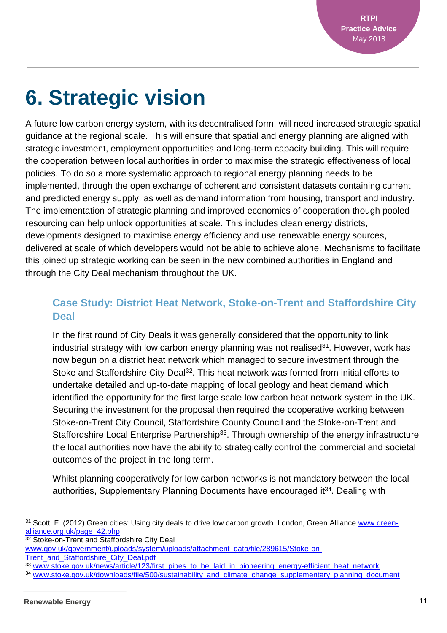## **6. Strategic vision**

A future low carbon energy system, with its decentralised form, will need increased strategic spatial guidance at the regional scale. This will ensure that spatial and energy planning are aligned with strategic investment, employment opportunities and long-term capacity building. This will require the cooperation between local authorities in order to maximise the strategic effectiveness of local policies. To do so a more systematic approach to regional energy planning needs to be implemented, through the open exchange of coherent and consistent datasets containing current and predicted energy supply, as well as demand information from housing, transport and industry. The implementation of strategic planning and improved economics of cooperation though pooled resourcing can help unlock opportunities at scale. This includes clean energy districts, developments designed to maximise energy efficiency and use renewable energy sources, delivered at scale of which developers would not be able to achieve alone. Mechanisms to facilitate this joined up strategic working can be seen in the new combined authorities in England and through the City Deal mechanism throughout the UK.

#### **Case Study: District Heat Network, Stoke-on-Trent and Staffordshire City Deal**

In the first round of City Deals it was generally considered that the opportunity to link industrial strategy with low carbon energy planning was not realised $31$ . However, work has now begun on a district heat network which managed to secure investment through the Stoke and Staffordshire City Deal<sup>32</sup>. This heat network was formed from initial efforts to undertake detailed and up-to-date mapping of local geology and heat demand which identified the opportunity for the first large scale low carbon heat network system in the UK. Securing the investment for the proposal then required the cooperative working between Stoke-on-Trent City Council, Staffordshire County Council and the Stoke-on-Trent and Staffordshire Local Enterprise Partnership<sup>33</sup>. Through ownership of the energy infrastructure the local authorities now have the ability to strategically control the commercial and societal outcomes of the project in the long term.

Whilst planning cooperatively for low carbon networks is not mandatory between the local authorities, Supplementary Planning Documents have encouraged it<sup>34</sup>. Dealing with

<sup>32</sup> Stoke-on-Trent and Staffordshire City Deal

[Trent\\_and\\_Staffordshire\\_City\\_Deal.pdf](http://www.gov.uk/government/uploads/system/uploads/attachment_data/file/289615/Stoke-on-Trent_and_Staffordshire_City_Deal.pdf)

l 31 Scott, F. (2012) Green cities: Using city deals to drive low carbon growth. London, Green Alliance [www.green](http://www.green-alliance.org.uk/page_42.php)[alliance.org.uk/page\\_42.php](http://www.green-alliance.org.uk/page_42.php)

[www.gov.uk/government/uploads/system/uploads/attachment\\_data/file/289615/Stoke-on-](http://www.gov.uk/government/uploads/system/uploads/attachment_data/file/289615/Stoke-on-Trent_and_Staffordshire_City_Deal.pdf)

<sup>33</sup> [www.stoke.gov.uk/news/article/123/first\\_pipes\\_to\\_be\\_laid\\_in\\_pioneering\\_energy-efficient\\_heat\\_network](http://www.stoke.gov.uk/news/article/123/first_pipes_to_be_laid_in_pioneering_energy-efficient_heat_network)

<sup>34</sup> [www.stoke.gov.uk/downloads/file/500/sustainability\\_and\\_climate\\_change\\_supplementary\\_planning\\_document](http://www.stoke.gov.uk/downloads/file/500/sustainability_and_climate_change_supplementary_planning_document)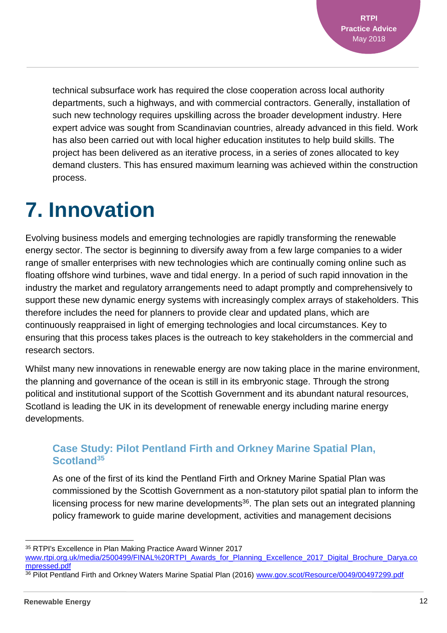technical subsurface work has required the close cooperation across local authority departments, such a highways, and with commercial contractors. Generally, installation of such new technology requires upskilling across the broader development industry. Here expert advice was sought from Scandinavian countries, already advanced in this field. Work has also been carried out with local higher education institutes to help build skills. The project has been delivered as an iterative process, in a series of zones allocated to key demand clusters. This has ensured maximum learning was achieved within the construction process.

### **7. Innovation**

Evolving business models and emerging technologies are rapidly transforming the renewable energy sector. The sector is beginning to diversify away from a few large companies to a wider range of smaller enterprises with new technologies which are continually coming online such as floating offshore wind turbines, wave and tidal energy. In a period of such rapid innovation in the industry the market and regulatory arrangements need to adapt promptly and comprehensively to support these new dynamic energy systems with increasingly complex arrays of stakeholders. This therefore includes the need for planners to provide clear and updated plans, which are continuously reappraised in light of emerging technologies and local circumstances. Key to ensuring that this process takes places is the outreach to key stakeholders in the commercial and research sectors.

Whilst many new innovations in renewable energy are now taking place in the marine environment, the planning and governance of the ocean is still in its embryonic stage. Through the strong political and institutional support of the Scottish Government and its abundant natural resources, Scotland is leading the UK in its development of renewable energy including marine energy developments.

#### **Case Study: Pilot Pentland Firth and Orkney Marine Spatial Plan, Scotland<sup>35</sup>**

As one of the first of its kind the Pentland Firth and Orkney Marine Spatial Plan was commissioned by the Scottish Government as a non-statutory pilot spatial plan to inform the licensing process for new marine developments<sup>36</sup>. The plan sets out an integrated planning policy framework to guide marine development, activities and management decisions

l <sup>35</sup> RTPI's Excellence in Plan Making Practice Award Winner 2017

[www.rtpi.org.uk/media/2500499/FINAL%20RTPI\\_Awards\\_for\\_Planning\\_Excellence\\_2017\\_Digital\\_Brochure\\_Darya.co](http://www.rtpi.org.uk/media/2500499/FINAL%20RTPI_Awards_for_Planning_Excellence_2017_Digital_Brochure_Darya.compressed.pdf) [mpressed.pdf](http://www.rtpi.org.uk/media/2500499/FINAL%20RTPI_Awards_for_Planning_Excellence_2017_Digital_Brochure_Darya.compressed.pdf)

<sup>36</sup> Pilot Pentland Firth and Orkney Waters Marine Spatial Plan (2016) [www.gov.scot/Resource/0049/00497299.pdf](http://www.gov.scot/Resource/0049/00497299.pdf)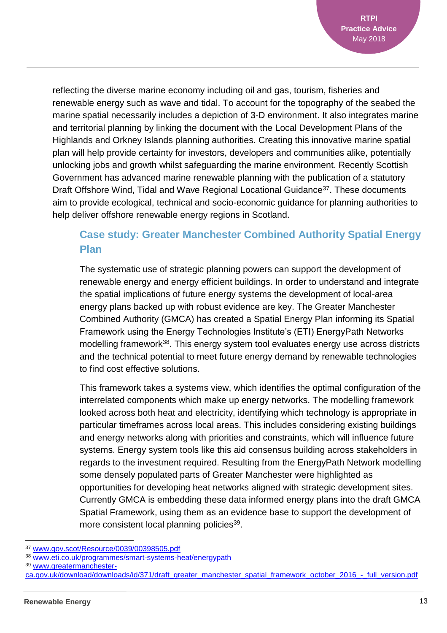reflecting the diverse marine economy including oil and gas, tourism, fisheries and renewable energy such as wave and tidal. To account for the topography of the seabed the marine spatial necessarily includes a depiction of 3-D environment. It also integrates marine and territorial planning by linking the document with the Local Development Plans of the Highlands and Orkney Islands planning authorities. Creating this innovative marine spatial plan will help provide certainty for investors, developers and communities alike, potentially unlocking jobs and growth whilst safeguarding the marine environment. Recently Scottish Government has advanced marine renewable planning with the publication of a statutory Draft Offshore Wind, Tidal and Wave Regional Locational Guidance<sup>37</sup>. These documents aim to provide ecological, technical and socio-economic guidance for planning authorities to help deliver offshore renewable energy regions in Scotland.

#### **Case study: Greater Manchester Combined Authority Spatial Energy Plan**

The systematic use of strategic planning powers can support the development of renewable energy and energy efficient buildings. In order to understand and integrate the spatial implications of future energy systems the development of local-area energy plans backed up with robust evidence are key. The Greater Manchester Combined Authority (GMCA) has created a Spatial Energy Plan informing its Spatial Framework using the Energy Technologies Institute's (ETI) EnergyPath Networks modelling framework<sup>38</sup>. This energy system tool evaluates energy use across districts and the technical potential to meet future energy demand by renewable technologies to find cost effective solutions.

This framework takes a systems view, which identifies the optimal configuration of the interrelated components which make up energy networks. The modelling framework looked across both heat and electricity, identifying which technology is appropriate in particular timeframes across local areas. This includes considering existing buildings and energy networks along with priorities and constraints, which will influence future systems. Energy system tools like this aid consensus building across stakeholders in regards to the investment required. Resulting from the EnergyPath Network modelling some densely populated parts of Greater Manchester were highlighted as opportunities for developing heat networks aligned with strategic development sites. Currently GMCA is embedding these data informed energy plans into the draft GMCA Spatial Framework, using them as an evidence base to support the development of more consistent local planning policies<sup>39</sup>.

<sup>37</sup> [www.gov.scot/Resource/0039/00398505.pdf](file:///C:/Users/robbiecalvert/AppData/Local/Microsoft/Windows/INetCache/Content.Outlook/ULGCC13S/www.gov.scot/Resource/0039/00398505.pdf)

<sup>38</sup> [www.eti.co.uk/programmes/smart-systems-heat/energypath](http://www.eti.co.uk/programmes/smart-systems-heat/energypath)

<sup>39</sup> [www.greatermanchester-](http://www.greatermanchester-ca.gov.uk/download/downloads/id/371/draft_greater_manchester_spatial_framework_october_2016_-_full_version.pdf)

[ca.gov.uk/download/downloads/id/371/draft\\_greater\\_manchester\\_spatial\\_framework\\_october\\_2016\\_-\\_full\\_version.pdf](http://www.greatermanchester-ca.gov.uk/download/downloads/id/371/draft_greater_manchester_spatial_framework_october_2016_-_full_version.pdf)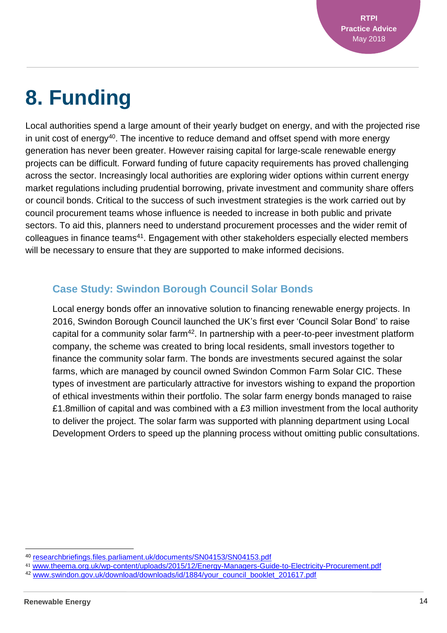# **8. Funding**

Local authorities spend a large amount of their yearly budget on energy, and with the projected rise in unit cost of energy<sup>40</sup>. The incentive to reduce demand and offset spend with more energy generation has never been greater. However raising capital for large-scale renewable energy projects can be difficult. Forward funding of future capacity requirements has proved challenging across the sector. Increasingly local authorities are exploring wider options within current energy market regulations including prudential borrowing, private investment and community share offers or council bonds. Critical to the success of such investment strategies is the work carried out by council procurement teams whose influence is needed to increase in both public and private sectors. To aid this, planners need to understand procurement processes and the wider remit of colleagues in finance teams<sup>41</sup>. Engagement with other stakeholders especially elected members will be necessary to ensure that they are supported to make informed decisions.

#### **Case Study: Swindon Borough Council Solar Bonds**

Local energy bonds offer an innovative solution to financing renewable energy projects. In 2016, Swindon Borough Council launched the UK's first ever 'Council Solar Bond' to raise capital for a community solar farm<sup>42</sup>. In partnership with a peer-to-peer investment platform company, the scheme was created to bring local residents, small investors together to finance the community solar farm. The bonds are investments secured against the solar farms, which are managed by council owned Swindon Common Farm Solar CIC. These types of investment are particularly attractive for investors wishing to expand the proportion of ethical investments within their portfolio. The solar farm energy bonds managed to raise £1.8million of capital and was combined with a £3 million investment from the local authority to deliver the project. The solar farm was supported with planning department using Local Development Orders to speed up the planning process without omitting public consultations.

<sup>40</sup> [researchbriefings.files.parliament.uk/documents/SN04153/SN04153.pdf](file:///C:/Users/robbiecalvert/AppData/Local/Microsoft/Windows/INetCache/Content.Outlook/ULGCC13S/researchbriefings.files.parliament.uk/documents/SN04153/SN04153.pdf)

<sup>41</sup> [www.theema.org.uk/wp-content/uploads/2015/12/Energy-Managers-Guide-to-Electricity-Procurement.pdf](http://www.theema.org.uk/wp-content/uploads/2015/12/Energy-Managers-Guide-to-Electricity-Procurement.pdf)

<sup>42</sup> [www.swindon.gov.uk/download/downloads/id/1884/your\\_council\\_booklet\\_201617.pdf](http://www.swindon.gov.uk/download/downloads/id/1884/your_council_booklet_201617.pdf)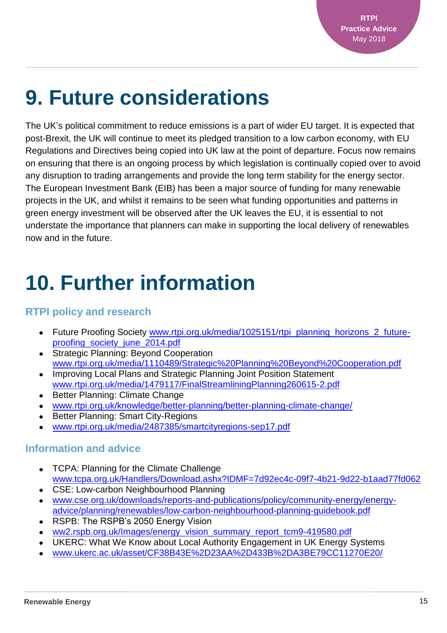## **9. Future considerations**

The UK's political commitment to reduce emissions is a part of wider EU target. It is expected that post-Brexit, the UK will continue to meet its pledged transition to a low carbon economy, with EU Regulations and Directives being copied into UK law at the point of departure. Focus now remains on ensuring that there is an ongoing process by which legislation is continually copied over to avoid any disruption to trading arrangements and provide the long term stability for the energy sector. The European Investment Bank (EIB) has been a major source of funding for many renewable projects in the UK, and whilst it remains to be seen what funding opportunities and patterns in green energy investment will be observed after the UK leaves the EU, it is essential to not understate the importance that planners can make in supporting the local delivery of renewables now and in the future.

### **10. Further information**

#### **RTPI policy and research**

- Future Proofing Society [www.rtpi.org.uk/media/1025151/rtpi\\_planning\\_horizons\\_2\\_future](http://www.rtpi.org.uk/media/1025151/rtpi_planning_horizons_2_future-proofing_society_june_2014.pdf)[proofing\\_society\\_june\\_2014.pdf](http://www.rtpi.org.uk/media/1025151/rtpi_planning_horizons_2_future-proofing_society_june_2014.pdf)
- Strategic Planning: Beyond Cooperation [www.rtpi.org.uk/media/1110489/Strategic%20Planning%20Beyond%20Cooperation.pdf](file:///C:/Users/robbiecalvert/AppData/Local/Microsoft/Windows/INetCache/Content.Outlook/ULGCC13S/www.rtpi.org.uk/media/1110489/Strategic%20Planning%20Beyond%20Cooperation.pdf)
- Improving Local Plans and Strategic Planning Joint Position Statement [www.rtpi.org.uk/media/1479117/FinalStreamliningPlanning260615-2.pdf](file:///C:/Users/robbiecalvert/AppData/Local/Microsoft/Windows/INetCache/Content.Outlook/ULGCC13S/www.rtpi.org.uk/media/1479117/FinalStreamliningPlanning260615-2.pdf)
- Better Planning: Climate Change
- [www.rtpi.org.uk/knowledge/better-planning/better-planning-climate-change/](http://www.rtpi.org.uk/knowledge/better-planning/better-planning-climate-change/)
- Better Planning: Smart City-Regions
- [www.rtpi.org.uk/media/2487385/smartcityregions-sep17.pdf](http://www.rtpi.org.uk/media/2487385/smartcityregions-sep17.pdf)

#### **Information and advice**

- TCPA: Planning for the Climate Challenge [www.tcpa.org.uk/Handlers/Download.ashx?IDMF=7d92ec4c-09f7-4b21-9d22-b1aad77fd062](https://www.tcpa.org.uk/Handlers/Download.ashx?IDMF=7d92ec4c-09f7-4b21-9d22-b1aad77fd062)
- CSE: Low-carbon Neighbourhood Planning
- [www.cse.org.uk/downloads/reports-and-publications/policy/community-energy/energy](http://www.cse.org.uk/downloads/reports-and-publications/policy/community-energy/energy-advice/planning/renewables/low-carbon-neighbourhood-planning-guidebook.pdf)[advice/planning/renewables/low-carbon-neighbourhood-planning-guidebook.pdf](http://www.cse.org.uk/downloads/reports-and-publications/policy/community-energy/energy-advice/planning/renewables/low-carbon-neighbourhood-planning-guidebook.pdf)
- RSPB: The RSPB's 2050 Energy Vision
- [ww2.rspb.org.uk/Images/energy\\_vision\\_summary\\_report\\_tcm9-419580.pdf](http://ww2.rspb.org.uk/Images/energy_vision_summary_report_tcm9-419580.pdf)
- UKERC: What We Know about Local Authority Engagement in UK Energy Systems
- [www.ukerc.ac.uk/asset/CF38B43E%2D23AA%2D433B%2DA3BE79CC11270E20/](http://www.ukerc.ac.uk/asset/CF38B43E-23AA-433B-A3BE79CC11270E20/)